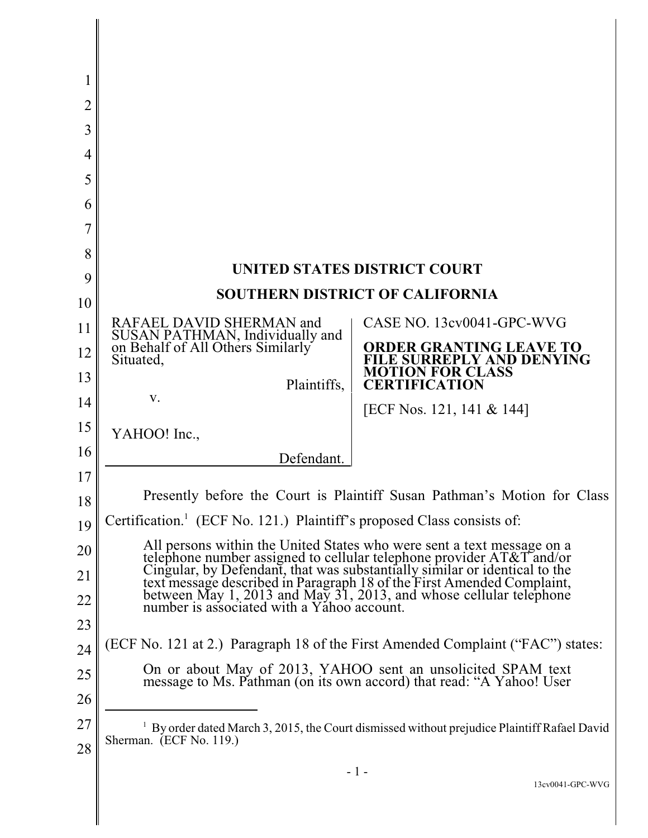| 2  |                                                                                                                                                      |                                                |
|----|------------------------------------------------------------------------------------------------------------------------------------------------------|------------------------------------------------|
| 3  |                                                                                                                                                      |                                                |
| 4  |                                                                                                                                                      |                                                |
| 5  |                                                                                                                                                      |                                                |
| 6  |                                                                                                                                                      |                                                |
|    |                                                                                                                                                      |                                                |
| 8  |                                                                                                                                                      |                                                |
| 9  | UNITED STATES DISTRICT COURT                                                                                                                         |                                                |
| 10 | SOUTHERN DISTRICT OF CALIFORNIA                                                                                                                      |                                                |
| 11 | RAFAEL DAVID SHERMAN and<br>SUSAN PATHMAN, Individually and<br>on Behalf of All Others Similarly                                                     | CASE NO. 13cv0041-GPC-WVG                      |
| 12 | Situated,                                                                                                                                            | <b>ER GRANTING LEAVE TO</b><br>PLY AND DENYING |
| 13 | Plaintiffs,                                                                                                                                          | <b>FOR CLASS</b><br>CERTIFICATION              |
| 14 | V.                                                                                                                                                   | [ECF Nos. 121, 141 & 144]                      |
| 15 | YAHOO! Inc.,                                                                                                                                         |                                                |
| 16 | Defendant.                                                                                                                                           |                                                |
| 17 |                                                                                                                                                      |                                                |
| 18 | Presently before the Court is Plaintiff Susan Pathman's Motion for Class                                                                             |                                                |
| 19 | Certification. <sup>1</sup> (ECF No. 121.) Plaintiff's proposed Class consists of:                                                                   |                                                |
| 20 | All persons within the United States who were sent a text message on a<br>telephone number assigned to cellular telephone provider AT&T and/or       |                                                |
| 21 | Cingular, by Defendant, that was substantially similar or identical to the<br>text message described in Paragraph 18 of the First Amended Complaint, |                                                |
| 22 | between May 1, 2013 and May 31, 2013, and whose cellular telephone<br>number is associated with a Yahoo account.                                     |                                                |
| 23 |                                                                                                                                                      |                                                |
| 24 | (ECF No. 121 at 2.) Paragraph 18 of the First Amended Complaint ("FAC") states:                                                                      |                                                |
| 25 | On or about May of 2013, YAHOO sent an unsolicited SPAM text<br>message to Ms. Pathman (on its own accord) that read: "A Yahoo! User                 |                                                |
| 26 |                                                                                                                                                      |                                                |
| 27 | By order dated March 3, 2015, the Court dismissed without prejudice Plaintiff Rafael David<br>Sherman. (ECF No. 119.)                                |                                                |
| 28 |                                                                                                                                                      |                                                |
|    | - 1 -                                                                                                                                                |                                                |

I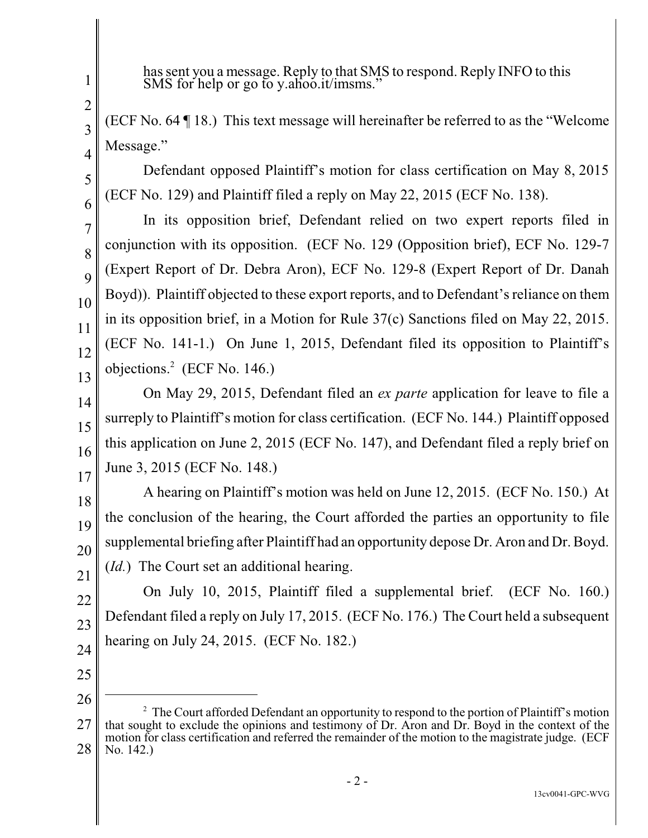has sent you a message. Reply to that SMS to respond. Reply INFO to this SMS for help or go to y.ahoo.it/imsms."

(ECF No. 64 ¶ 18.) This text message will hereinafter be referred to as the "Welcome Message."

Defendant opposed Plaintiff's motion for class certification on May 8, 2015 (ECF No. 129) and Plaintiff filed a reply on May 22, 2015 (ECF No. 138).

In its opposition brief, Defendant relied on two expert reports filed in conjunction with its opposition. (ECF No. 129 (Opposition brief), ECF No. 129-7 (Expert Report of Dr. Debra Aron), ECF No. 129-8 (Expert Report of Dr. Danah Boyd)). Plaintiff objected to these export reports, and to Defendant's reliance on them in its opposition brief, in a Motion for Rule 37(c) Sanctions filed on May 22, 2015. (ECF No. 141-1.) On June 1, 2015, Defendant filed its opposition to Plaintiff's objections. $2$  (ECF No. 146.)

On May 29, 2015, Defendant filed an *ex parte* application for leave to file a surreply to Plaintiff's motion for class certification. (ECF No. 144.) Plaintiff opposed this application on June 2, 2015 (ECF No. 147), and Defendant filed a reply brief on June 3, 2015 (ECF No. 148.)

18 19 20 21 A hearing on Plaintiff's motion was held on June 12, 2015. (ECF No. 150.) At the conclusion of the hearing, the Court afforded the parties an opportunity to file supplemental briefing after Plaintiff had an opportunity depose Dr. Aron and Dr. Boyd. (*Id.*) The Court set an additional hearing.

22 23 24 On July 10, 2015, Plaintiff filed a supplemental brief. (ECF No. 160.) Defendant filed a reply on July 17, 2015. (ECF No. 176.) The Court held a subsequent hearing on July 24, 2015. (ECF No. 182.)

25 26

1

2

3

4

5

6

7

8

9

10

11

12

13

14

15

16

<sup>27</sup> 28  $<sup>2</sup>$  The Court afforded Defendant an opportunity to respond to the portion of Plaintiff's motion</sup> that sought to exclude the opinions and testimony of Dr. Aron and Dr. Boyd in the context of the motion for class certification and referred the remainder of the motion to the magistrate judge. (ECF No. 142.)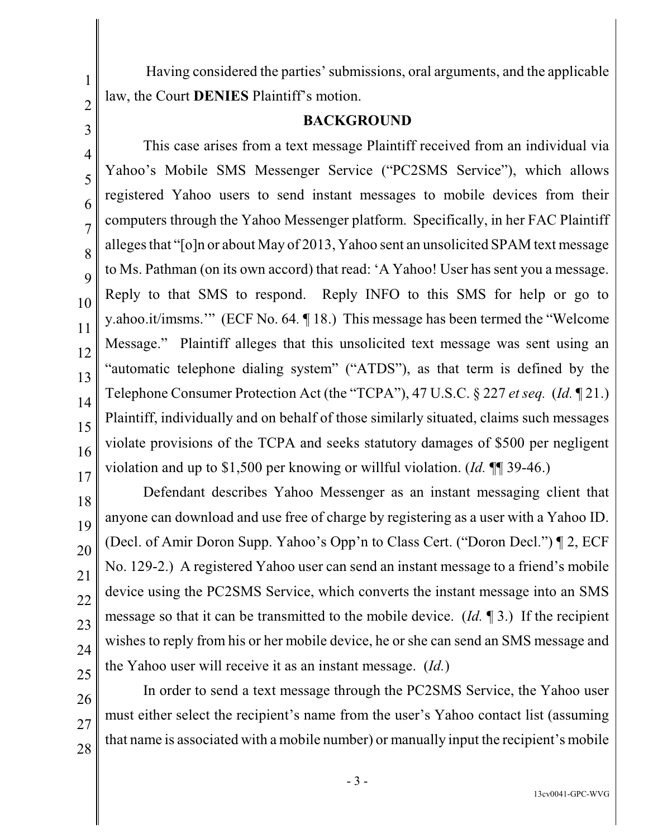Having considered the parties' submissions, oral arguments, and the applicable law, the Court **DENIES** Plaintiff's motion.

1

2

3

4

5

6

7

8

9

10

11

12

13

14

15

16

17

#### **BACKGROUND**

This case arises from a text message Plaintiff received from an individual via Yahoo's Mobile SMS Messenger Service ("PC2SMS Service"), which allows registered Yahoo users to send instant messages to mobile devices from their computers through the Yahoo Messenger platform. Specifically, in her FAC Plaintiff alleges that "[o]n or about May of 2013, Yahoo sent an unsolicited SPAM text message to Ms. Pathman (on its own accord) that read: 'A Yahoo! User has sent you a message. Reply to that SMS to respond. Reply INFO to this SMS for help or go to y.ahoo.it/imsms.'" (ECF No. 64*.* ¶ 18.) This message has been termed the "Welcome Message." Plaintiff alleges that this unsolicited text message was sent using an "automatic telephone dialing system" ("ATDS"), as that term is defined by the Telephone Consumer Protection Act (the "TCPA"), 47 U.S.C. § 227 *et seq.* (*Id.* ¶ 21.) Plaintiff, individually and on behalf of those similarly situated, claims such messages violate provisions of the TCPA and seeks statutory damages of \$500 per negligent violation and up to \$1,500 per knowing or willful violation. (*Id.* ¶¶ 39-46.)

18 19 20 21 22 23 24 25 Defendant describes Yahoo Messenger as an instant messaging client that anyone can download and use free of charge by registering as a user with a Yahoo ID. (Decl. of Amir Doron Supp. Yahoo's Opp'n to Class Cert. ("Doron Decl.") ¶ 2, ECF No. 129-2.) A registered Yahoo user can send an instant message to a friend's mobile device using the PC2SMS Service, which converts the instant message into an SMS message so that it can be transmitted to the mobile device. (*Id.* ¶ 3.) If the recipient wishes to reply from his or her mobile device, he or she can send an SMS message and the Yahoo user will receive it as an instant message. (*Id.*)

26 27 28 In order to send a text message through the PC2SMS Service, the Yahoo user must either select the recipient's name from the user's Yahoo contact list (assuming that name is associated with a mobile number) or manually input the recipient's mobile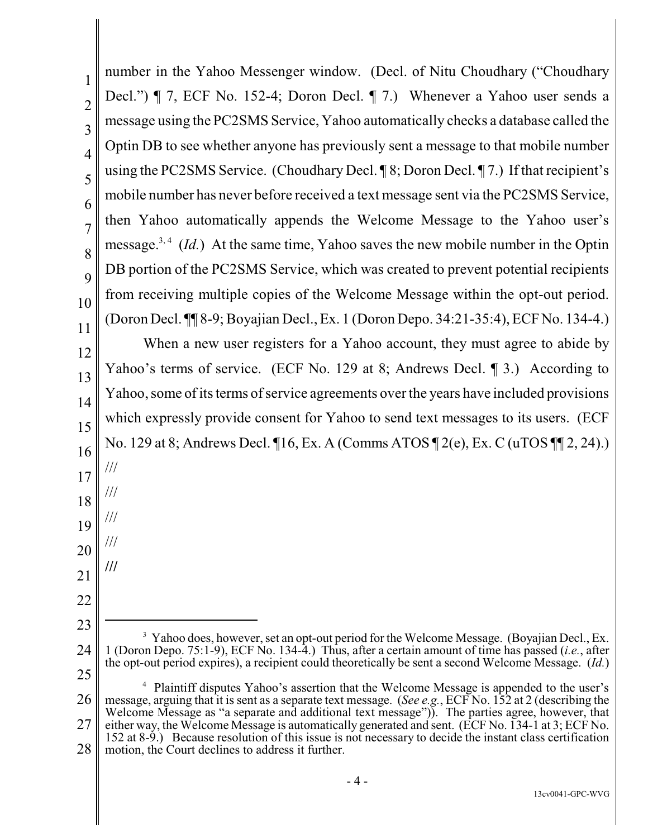1 2 3 4 5 6 7 8 9 10 11 12 13 14 15 16 17 18 19 20 21 22 23 24 25 26 27 28 number in the Yahoo Messenger window. (Decl. of Nitu Choudhary ("Choudhary Decl.") ¶ 7, ECF No. 152-4; Doron Decl. ¶ 7.) Whenever a Yahoo user sends a message using the PC2SMS Service, Yahoo automatically checks a database called the Optin DB to see whether anyone has previously sent a message to that mobile number using the PC2SMS Service. (Choudhary Decl. ¶ 8; Doron Decl. ¶ 7.) If that recipient's mobile number has never before received a text message sent via the PC2SMS Service, then Yahoo automatically appends the Welcome Message to the Yahoo user's message.<sup>3, 4</sup> (*Id.*) At the same time, Yahoo saves the new mobile number in the Optin DB portion of the PC2SMS Service, which was created to prevent potential recipients from receiving multiple copies of the Welcome Message within the opt-out period. (Doron Decl. ¶¶ 8-9;Boyajian Decl., Ex. 1 (Doron Depo. 34:21-35:4), ECF No. 134-4.) When a new user registers for a Yahoo account, they must agree to abide by Yahoo's terms of service. (ECF No. 129 at 8; Andrews Decl. 1 3.) According to Yahoo, some of its terms of service agreements over the years have included provisions which expressly provide consent for Yahoo to send text messages to its users. (ECF No. 129 at 8; Andrews Decl. ¶16, Ex. A (Comms ATOS ¶ 2(e), Ex. C (uTOS ¶¶ 2, 24).) /// /// /// /// **///** <sup>3</sup> Yahoo does, however, set an opt-out period for the Welcome Message. (Boyajian Decl., Ex. 1 (Doron Depo. 75:1-9), ECF No. 134-4.) Thus, after a certain amount of time has passed (*i.e.*, after the opt-out period expires), a recipient could theoretically be sent a second Welcome Message. (*Id.*) <sup>4</sup> Plaintiff disputes Yahoo's assertion that the Welcome Message is appended to the user's message, arguing that it is sent as a separate text message. (*See e.g.*, ECF No. 152 at 2 (describing the Welcome Message as "a separate and additional text message")). The parties agree, however, that either way, the Welcome Message is automatically generated and sent. (ECF No. 134-1 at 3; ECF No. 152 at 8-9.) Because resolution of this issue is not necessary to decide the instant class certification motion, the Court declines to address it further.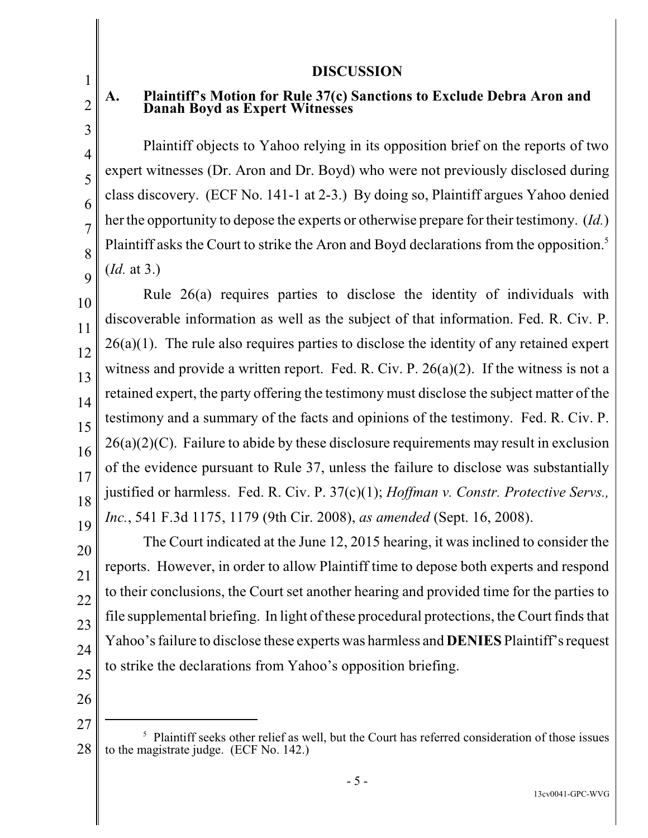#### **DISCUSSION**

# **A. Plaintiff's Motion for Rule 37(c) Sanctions to Exclude Debra Aron and Danah Boyd as Expert Witnesses**

Plaintiff objects to Yahoo relying in its opposition brief on the reports of two expert witnesses (Dr. Aron and Dr. Boyd) who were not previously disclosed during class discovery. (ECF No. 141-1 at 2-3.) By doing so, Plaintiff argues Yahoo denied her the opportunity to depose the experts or otherwise prepare for their testimony. (*Id.*) Plaintiff asks the Court to strike the Aron and Boyd declarations from the opposition.<sup>5</sup> (*Id.* at 3.)

10 12 13 14 15 16 18 19 Rule 26(a) requires parties to disclose the identity of individuals with discoverable information as well as the subject of that information. Fed. R. Civ. P.  $26(a)(1)$ . The rule also requires parties to disclose the identity of any retained expert witness and provide a written report. Fed. R. Civ. P. 26(a)(2). If the witness is not a retained expert, the party offering the testimony must disclose the subject matter of the testimony and a summary of the facts and opinions of the testimony. Fed. R. Civ. P.  $26(a)(2)(C)$ . Failure to abide by these disclosure requirements may result in exclusion of the evidence pursuant to Rule 37, unless the failure to disclose was substantially justified or harmless. Fed. R. Civ. P. 37(c)(1); *Hoffman v. Constr. Protective Servs., Inc.*, 541 F.3d 1175, 1179 (9th Cir. 2008), *as amended* (Sept. 16, 2008).

20 22 23 24 The Court indicated at the June 12, 2015 hearing, it was inclined to consider the reports. However, in order to allow Plaintiff time to depose both experts and respond to their conclusions, the Court set another hearing and provided time for the parties to file supplemental briefing. In light of these procedural protections, the Court finds that Yahoo's failure to disclose these experts was harmless and **DENIES** Plaintiff's request to strike the declarations from Yahoo's opposition briefing.

26 27

25

1

2

3

4

5

6

7

8

 $\overline{Q}$ 

11

17

<sup>28</sup>  $<sup>5</sup>$  Plaintiff seeks other relief as well, but the Court has referred consideration of those issues</sup> to the magistrate judge. (ECF No. 142.)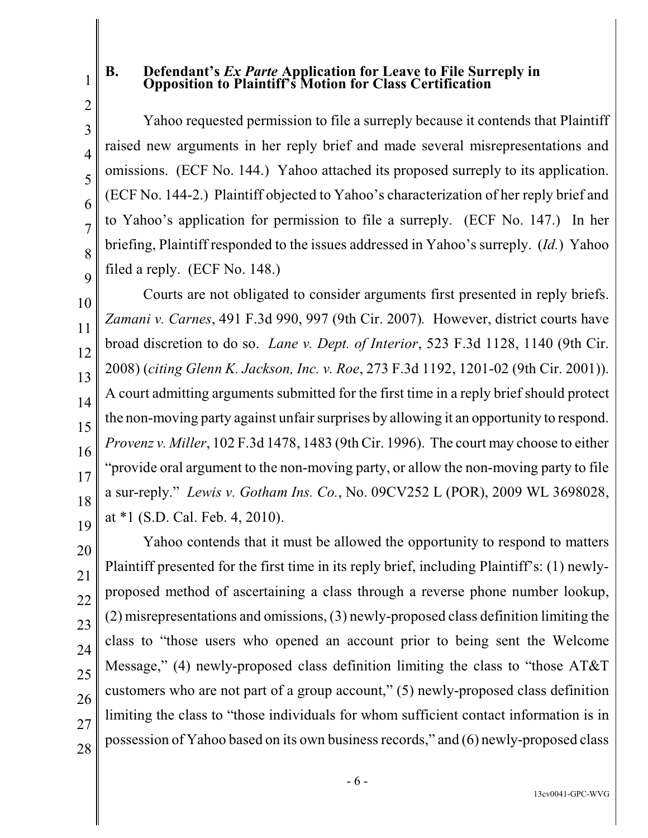### **B. Defendant's** *Ex Parte* **Application for Leave to File Surreply in Opposition to Plaintiff's Motion for Class Certification**

1

2

3

4

5

6

7

8

 $\overline{Q}$ 

10

11

12

13

14

15

16

17

18

19

Yahoo requested permission to file a surreply because it contends that Plaintiff raised new arguments in her reply brief and made several misrepresentations and omissions. (ECF No. 144.) Yahoo attached its proposed surreply to its application. (ECF No. 144-2.) Plaintiff objected to Yahoo's characterization of her reply brief and to Yahoo's application for permission to file a surreply. (ECF No. 147.) In her briefing, Plaintiff responded to the issues addressed in Yahoo's surreply. (*Id.*) Yahoo filed a reply. (ECF No. 148.)

Courts are not obligated to consider arguments first presented in reply briefs. *Zamani v. Carnes*, 491 F.3d 990, 997 (9th Cir. 2007)*.* However, district courts have broad discretion to do so. *Lane v. Dept. of Interior*, 523 F.3d 1128, 1140 (9th Cir. 2008) (*citing Glenn K. Jackson, Inc. v. Roe*, 273 F.3d 1192, 1201-02 (9th Cir. 2001)). A court admitting arguments submitted for the first time in a reply brief should protect the non-moving party against unfair surprises by allowing it an opportunity to respond. *Provenz v. Miller*, 102 F.3d 1478, 1483 (9th Cir. 1996). The court may choose to either "provide oral argument to the non-moving party, or allow the non-moving party to file a sur-reply." *Lewis v. Gotham Ins. Co.*, No. 09CV252 L (POR), 2009 WL 3698028, at \*1 (S.D. Cal. Feb. 4, 2010).

20 21 22 23 24 25 26 27 28 Yahoo contends that it must be allowed the opportunity to respond to matters Plaintiff presented for the first time in its reply brief, including Plaintiff's: (1) newlyproposed method of ascertaining a class through a reverse phone number lookup, (2) misrepresentations and omissions, (3) newly-proposed class definition limiting the class to "those users who opened an account prior to being sent the Welcome Message," (4) newly-proposed class definition limiting the class to "those AT&T customers who are not part of a group account," (5) newly-proposed class definition limiting the class to "those individuals for whom sufficient contact information is in possession of Yahoo based on its own businessrecords," and (6) newly-proposed class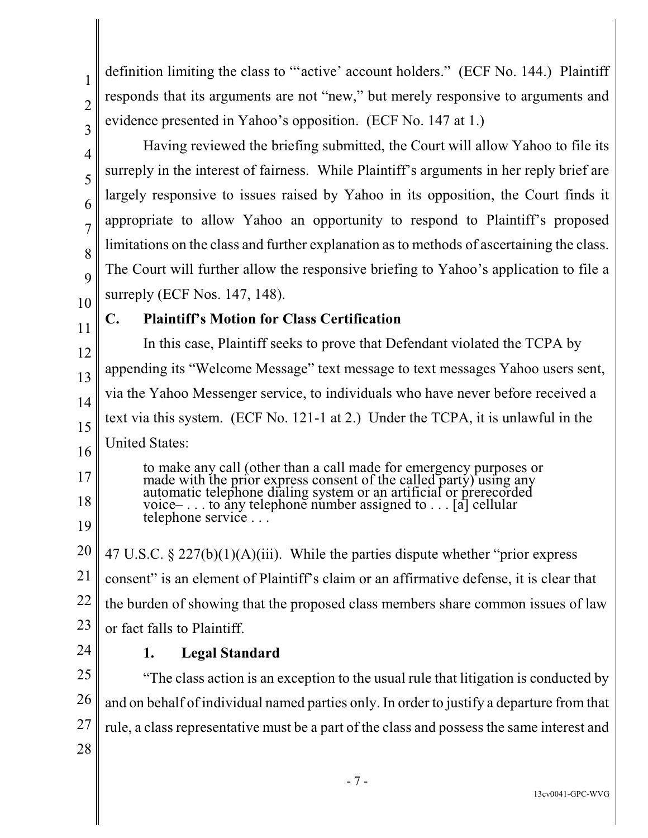definition limiting the class to "'active' account holders." (ECF No. 144.) Plaintiff responds that its arguments are not "new," but merely responsive to arguments and evidence presented in Yahoo's opposition. (ECF No. 147 at 1.)

Having reviewed the briefing submitted, the Court will allow Yahoo to file its surreply in the interest of fairness. While Plaintiff's arguments in her reply brief are largely responsive to issues raised by Yahoo in its opposition, the Court finds it appropriate to allow Yahoo an opportunity to respond to Plaintiff's proposed limitations on the class and further explanation as to methods of ascertaining the class. The Court will further allow the responsive briefing to Yahoo's application to file a surreply (ECF Nos. 147, 148).

10 11

17

18

19

1

2

3

4

5

6

7

8

9

## **C. Plaintiff's Motion for Class Certification**

12 13 14 15 16 In this case, Plaintiff seeks to prove that Defendant violated the TCPA by appending its "Welcome Message" text message to text messages Yahoo users sent, via the Yahoo Messenger service, to individuals who have never before received a text via this system. (ECF No. 121-1 at 2.) Under the TCPA, it is unlawful in the United States:

to make any call (other than a call made for emergency purposes or made with the prior express consent of the called party) using any automatic telephone dialing system or an artificial or prerecorded voice– . . . to any telephone number assigned to . . . [a] cellular telephone service . . .

20 21 22 23 47 U.S.C.  $\S 227(b)(1)(A)(iii)$ . While the parties dispute whether "prior express" consent" is an element of Plaintiff's claim or an affirmative defense, it is clear that the burden of showing that the proposed class members share common issues of law or fact falls to Plaintiff.

24

## **1. Legal Standard**

25 26 27 28 "The class action is an exception to the usual rule that litigation is conducted by and on behalf of individual named parties only. In order to justify a departure from that rule, a class representative must be a part of the class and possess the same interest and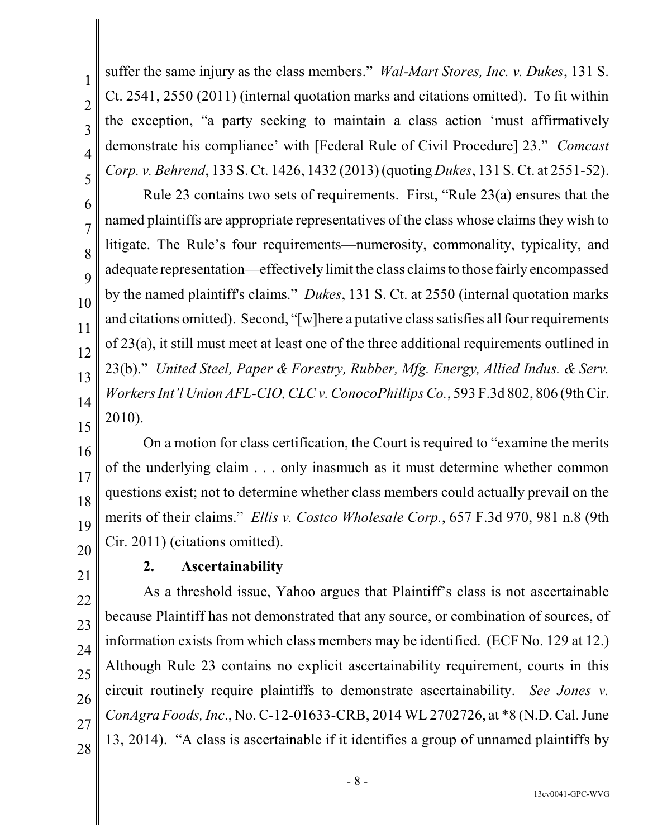suffer the same injury as the class members." *Wal-Mart Stores, Inc. v. Dukes*, 131 S. Ct. 2541, 2550 (2011) (internal quotation marks and citations omitted). To fit within the exception, "a party seeking to maintain a class action 'must affirmatively demonstrate his compliance' with [Federal Rule of Civil Procedure] 23." *Comcast Corp. v. Behrend*, 133 S. Ct. 1426, 1432 (2013) (quoting *Dukes*, 131 S. Ct. at 2551-52).

Rule 23 contains two sets of requirements. First, "Rule 23(a) ensures that the named plaintiffs are appropriate representatives of the class whose claims they wish to litigate. The Rule's four requirements—numerosity, commonality, typicality, and adequate representation—effectively limit the class claims to those fairly encompassed by the named plaintiff's claims." *Dukes*, 131 S. Ct. at 2550 (internal quotation marks and citations omitted). Second, "[w]here a putative class satisfies all fourrequirements of 23(a), it still must meet at least one of the three additional requirements outlined in 23(b)." *United Steel, Paper & Forestry, Rubber, Mfg. Energy, Allied Indus. & Serv. Workers Int'l Union AFL-CIO, CLC v. ConocoPhillips Co.*, 593 F.3d 802, 806 (9thCir. 2010).

16 18 19 20 On a motion for class certification, the Court is required to "examine the merits of the underlying claim . . . only inasmuch as it must determine whether common questions exist; not to determine whether class members could actually prevail on the merits of their claims." *Ellis v. Costco Wholesale Corp.*, 657 F.3d 970, 981 n.8 (9th Cir. 2011) (citations omitted).

21

22

23

24

25

26

27

28

1

2

3

4

5

6

7

8

9

10

11

12

13

14

15

17

# **2. Ascertainability**

As a threshold issue, Yahoo argues that Plaintiff's class is not ascertainable because Plaintiff has not demonstrated that any source, or combination of sources, of information exists from which class members may be identified. (ECF No. 129 at 12.) Although Rule 23 contains no explicit ascertainability requirement, courts in this circuit routinely require plaintiffs to demonstrate ascertainability. *See Jones v. ConAgra Foods, Inc*., No. C-12-01633-CRB, 2014 WL 2702726, at \*8 (N.D. Cal. June 13, 2014). "A class is ascertainable if it identifies a group of unnamed plaintiffs by

- 8 -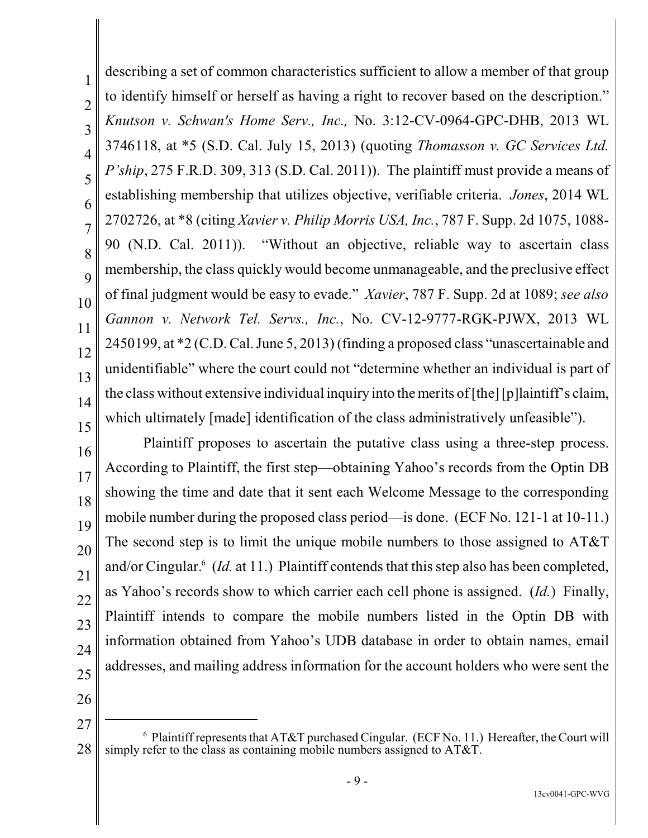describing a set of common characteristics sufficient to allow a member of that group to identify himself or herself as having a right to recover based on the description." *Knutson v. Schwan's Home Serv., Inc.,* No. 3:12-CV-0964-GPC-DHB, 2013 WL 3746118, at \*5 (S.D. Cal. July 15, 2013) (quoting *Thomasson v. GC Services Ltd. P'ship*, 275 F.R.D. 309, 313 (S.D. Cal. 2011)). The plaintiff must provide a means of establishing membership that utilizes objective, verifiable criteria. *Jones*, 2014 WL 2702726, at \*8 (citing *Xavier v. Philip Morris USA, Inc.*, 787 F. Supp. 2d 1075, 1088- 90 (N.D. Cal. 2011)). "Without an objective, reliable way to ascertain class membership, the class quickly would become unmanageable, and the preclusive effect of final judgment would be easy to evade." *Xavier*, 787 F. Supp. 2d at 1089; *see also Gannon v. Network Tel. Servs., Inc.*, No. CV-12-9777-RGK-PJWX, 2013 WL 2450199, at \*2 (C.D. Cal. June 5, 2013) (finding a proposed class "unascertainable and unidentifiable" where the court could not "determine whether an individual is part of the class without extensive individual inquiry into the merits of[the] [p]laintiff's claim, which ultimately [made] identification of the class administratively unfeasible").

16 17 18 19 20 21 22 23 24 25 Plaintiff proposes to ascertain the putative class using a three-step process. According to Plaintiff, the first step—obtaining Yahoo's records from the Optin DB showing the time and date that it sent each Welcome Message to the corresponding mobile number during the proposed class period—is done. (ECF No. 121-1 at 10-11.) The second step is to limit the unique mobile numbers to those assigned to AT&T and/or Cingular.<sup>6</sup> (Id. at 11.) Plaintiff contends that this step also has been completed, as Yahoo's records show to which carrier each cell phone is assigned. (*Id.*) Finally, Plaintiff intends to compare the mobile numbers listed in the Optin DB with information obtained from Yahoo's UDB database in order to obtain names, email addresses, and mailing address information for the account holders who were sent the

26

1

2

3

4

5

6

7

8

9

10

11

12

13

14

<sup>27</sup> 28  $6$  Plaintiff represents that AT&T purchased Cingular. (ECF No. 11.) Hereafter, the Court will simply refer to the class as containing mobile numbers assigned to AT&T.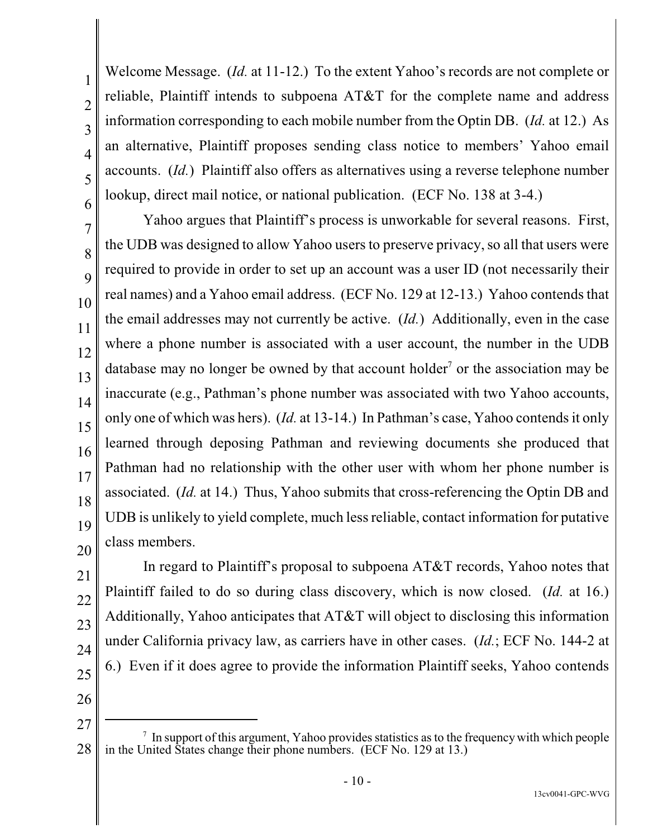Welcome Message. (*Id.* at 11-12.) To the extent Yahoo's records are not complete or reliable, Plaintiff intends to subpoena AT&T for the complete name and address information corresponding to each mobile number from the Optin DB. (*Id.* at 12.) As an alternative, Plaintiff proposes sending class notice to members' Yahoo email accounts. (*Id.*) Plaintiff also offers as alternatives using a reverse telephone number lookup, direct mail notice, or national publication. (ECF No. 138 at 3-4.)

Yahoo argues that Plaintiff's process is unworkable for several reasons. First, the UDB was designed to allow Yahoo users to preserve privacy, so all that users were required to provide in order to set up an account was a user ID (not necessarily their real names) and a Yahoo email address. (ECF No. 129 at 12-13.) Yahoo contends that the email addresses may not currently be active. (*Id.*) Additionally, even in the case where a phone number is associated with a user account, the number in the UDB database may no longer be owned by that account holder<sup>7</sup> or the association may be inaccurate (e.g., Pathman's phone number was associated with two Yahoo accounts, only one of which was hers). (*Id.* at 13-14.) In Pathman's case, Yahoo contendsit only learned through deposing Pathman and reviewing documents she produced that Pathman had no relationship with the other user with whom her phone number is associated. (*Id.* at 14.) Thus, Yahoo submits that cross-referencing the Optin DB and UDB is unlikely to yield complete, much lessreliable, contact information for putative class members.

21 22 23 24 25 In regard to Plaintiff's proposal to subpoena AT&T records, Yahoo notes that Plaintiff failed to do so during class discovery, which is now closed. (*Id.* at 16.) Additionally, Yahoo anticipates that AT&T will object to disclosing this information under California privacy law, as carriers have in other cases. (*Id.*; ECF No. 144-2 at 6.) Even if it does agree to provide the information Plaintiff seeks, Yahoo contends

26 27

<sup>28</sup>  $\alpha$  In support of this argument, Yahoo provides statistics as to the frequency with which people in the United States change their phone numbers. (ECF No. 129 at 13.)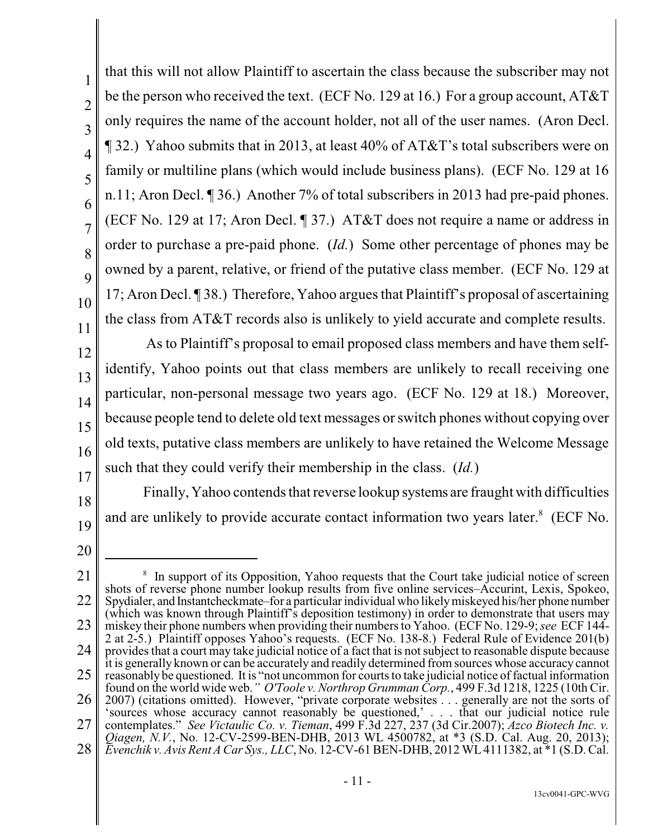that this will not allow Plaintiff to ascertain the class because the subscriber may not be the person who received the text. (ECF No. 129 at 16.) For a group account, AT&T only requires the name of the account holder, not all of the user names. (Aron Decl. ¶ 32.) Yahoo submits that in 2013, at least 40% of AT&T's total subscribers were on family or multiline plans (which would include business plans). (ECF No. 129 at 16 n.11; Aron Decl. ¶ 36.) Another 7% of total subscribers in 2013 had pre-paid phones. (ECF No. 129 at 17; Aron Decl. ¶ 37.) AT&T does not require a name or address in order to purchase a pre-paid phone. (*Id.*) Some other percentage of phones may be owned by a parent, relative, or friend of the putative class member. (ECF No. 129 at 17; Aron Decl. ¶ 38.) Therefore, Yahoo argues that Plaintiff's proposal of ascertaining the class from AT&T records also is unlikely to yield accurate and complete results.

As to Plaintiff's proposal to email proposed class members and have them selfidentify, Yahoo points out that class members are unlikely to recall receiving one particular, non-personal message two years ago. (ECF No. 129 at 18.) Moreover, because people tend to delete old text messages or switch phones without copying over old texts, putative class members are unlikely to have retained the Welcome Message such that they could verify their membership in the class. (*Id.*)

Finally, Yahoo contends that reverse lookup systems are fraught with difficulties

and are unlikely to provide accurate contact information two years later.<sup>8</sup> (ECF No.

18

1

2

3

4

5

6

7

8

9

10

11

12

13

14

15

16

17

<sup>21</sup> 22 23 24 25 26 27 28 <sup>8</sup> In support of its Opposition, Yahoo requests that the Court take judicial notice of screen shots of reverse phone number lookup results from five online services–Accurint, Lexis, Spokeo, Spydialer, and Instantcheckmate–for a particular individual who likelymiskeyed his/her phone number (which was known through Plaintiff's deposition testimony) in order to demonstrate that users may miskey their phone numbers when providing their numbers to Yahoo. (ECF No. 129-9; *see* ECF 144- 2 at 2-5.) Plaintiff opposes Yahoo's requests. (ECF No. 138-8.) Federal Rule of Evidence 201(b) provides that a court may take judicial notice of a fact that is not subject to reasonable dispute because it is generally known or can be accurately and readily determined from sources whose accuracy cannot reasonably be questioned. It is "not uncommon for courts to take judicial notice of factual information found on the world wide web.*" O'Toole v. Northrop Grumman Corp.*, 499 F.3d 1218, 1225 (10th Cir. 2007) (citations omitted). However, "private corporate websites . . . generally are not the sorts of 'sources whose accuracy cannot reasonably be questioned,' . . . that our judicial notice rule contemplates." *See Victaulic Co. v. Tieman*, 499 F.3d 227, 237 (3d Cir.2007); *Azco Biotech Inc. v. Qiagen, N.V.*, No. 12-CV-2599-BEN-DHB, 2013 WL 4500782, at \*3 (S.D. Cal. Aug. 20, 2013); *Evenchik v. Avis Rent A Car Sys., LLC*, No. 12-CV-61 BEN-DHB, 2012 WL4111382, at \*1 (S.D. Cal.

<sup>13</sup>cv0041-GPC-WVG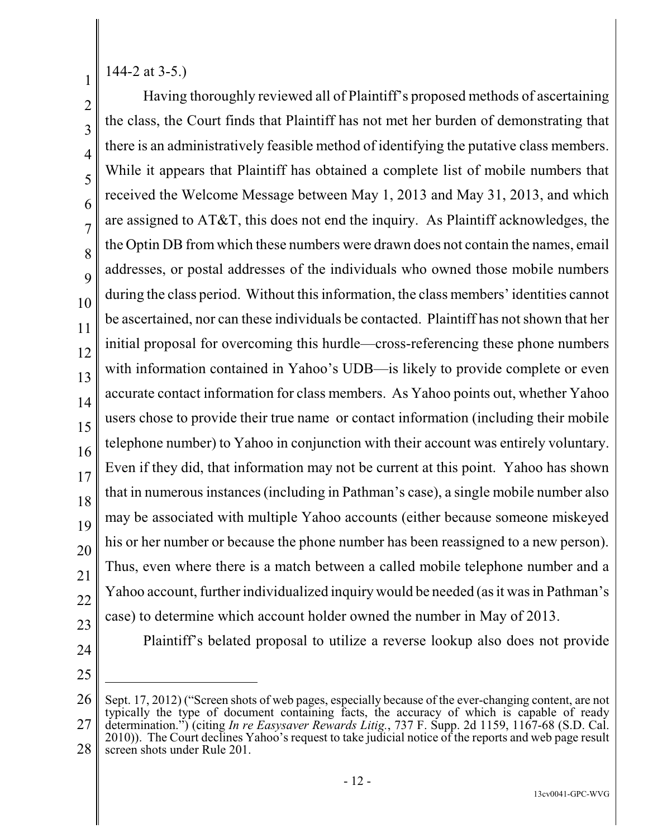144-2 at 3-5.)

1

2 3 4 5 6 7 8 9 10 11 12 13 14 15 16 17 18 19 20 21 22 23 Having thoroughly reviewed all of Plaintiff's proposed methods of ascertaining the class, the Court finds that Plaintiff has not met her burden of demonstrating that there is an administratively feasible method of identifying the putative class members. While it appears that Plaintiff has obtained a complete list of mobile numbers that received the Welcome Message between May 1, 2013 and May 31, 2013, and which are assigned to AT&T, this does not end the inquiry. As Plaintiff acknowledges, the the Optin DB from which these numbers were drawn does not contain the names, email addresses, or postal addresses of the individuals who owned those mobile numbers during the class period. Without this information, the class members' identities cannot be ascertained, nor can these individuals be contacted. Plaintiff has not shown that her initial proposal for overcoming this hurdle—cross-referencing these phone numbers with information contained in Yahoo's UDB—is likely to provide complete or even accurate contact information for class members. As Yahoo points out, whether Yahoo users chose to provide their true name or contact information (including their mobile telephone number) to Yahoo in conjunction with their account was entirely voluntary. Even if they did, that information may not be current at this point. Yahoo has shown that in numerous instances(including in Pathman's case), a single mobile number also may be associated with multiple Yahoo accounts (either because someone miskeyed his or her number or because the phone number has been reassigned to a new person). Thus, even where there is a match between a called mobile telephone number and a Yahoo account, further individualized inquiry would be needed (as it was in Pathman's case) to determine which account holder owned the number in May of 2013.

- 24
- 25

Plaintiff's belated proposal to utilize a reverse lookup also does not provide

<sup>26</sup> 27 Sept. 17, 2012) ("Screen shots of web pages, especially because of the ever-changing content, are not typically the type of document containing facts, the accuracy of which is capable of ready determination.") (citing *In re Easysaver Rewards Litig.*, 737 F. Supp. 2d 1159, 1167-68 (S.D. Cal. 2010)). The Court declines Yahoo's request to take judicial notice of the reports and web page result screen shots under Rule 201.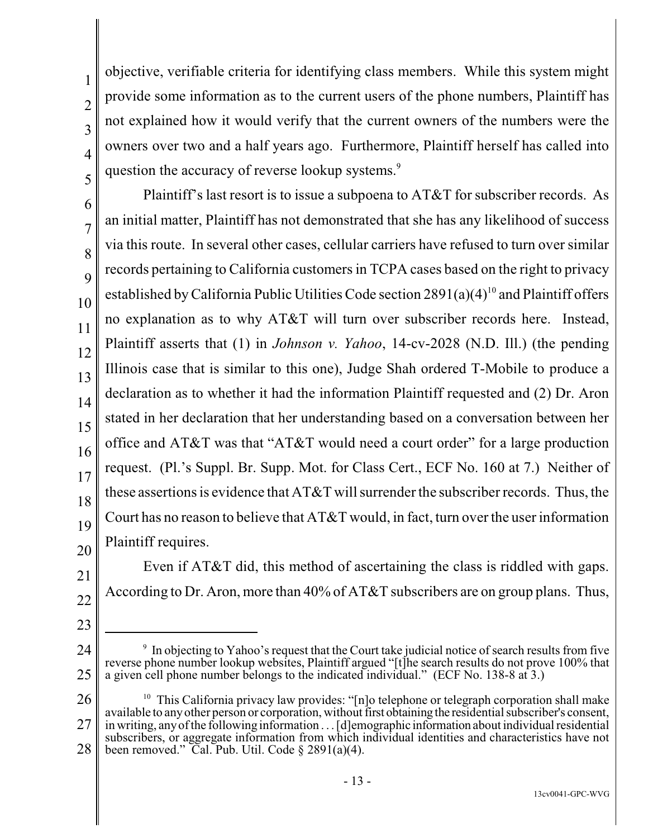18 19

20

21

22

- 23
- 24
- 25 <sup>9</sup> In objecting to Yahoo's request that the Court take judicial notice of search results from five reverse phone number lookup websites, Plaintiff argued "[t]he search results do not prove 100% that a given cell phone number belongs to the indicated individual." (ECF No. 138-8 at 3.)

According to Dr. Aron, more than 40% of AT&T subscribers are on group plans. Thus,

Even if AT&T did, this method of ascertaining the class is riddled with gaps.

26 27 28 <sup>10</sup> This California privacy law provides: "[n]o telephone or telegraph corporation shall make available to anyother person or corporation, without first obtainingthe residential subscriber's consent, in writing, anyof the following information . . . [d]emographic information about individual residential subscribers, or aggregate information from which individual identities and characteristics have not been removed." Cal. Pub. Util. Code  $\S 2891(a)(4)$ .

objective, verifiable criteria for identifying class members. While this system might provide some information as to the current users of the phone numbers, Plaintiff has not explained how it would verify that the current owners of the numbers were the owners over two and a half years ago. Furthermore, Plaintiff herself has called into question the accuracy of reverse lookup systems.<sup>9</sup>

17 Plaintiff's last resort is to issue a subpoena to AT&T for subscriber records. As an initial matter, Plaintiff has not demonstrated that she has any likelihood of success via this route. In several other cases, cellular carriers have refused to turn over similar records pertaining to California customers in TCPA cases based on the right to privacy established by California Public Utilities Code section  $2891(a)(4)^{10}$  and Plaintiff offers no explanation as to why AT&T will turn over subscriber records here. Instead, Plaintiff asserts that (1) in *Johnson v. Yahoo*, 14-cv-2028 (N.D. Ill.) (the pending Illinois case that is similar to this one), Judge Shah ordered T-Mobile to produce a declaration as to whether it had the information Plaintiff requested and (2) Dr. Aron stated in her declaration that her understanding based on a conversation between her office and AT&T was that "AT&T would need a court order" for a large production request. (Pl.'s Suppl. Br. Supp. Mot. for Class Cert., ECF No. 160 at 7.) Neither of these assertions is evidence that AT&T will surrender the subscriber records. Thus, the Court has no reason to believe that  $AT&T$  would, in fact, turn over the user information Plaintiff requires.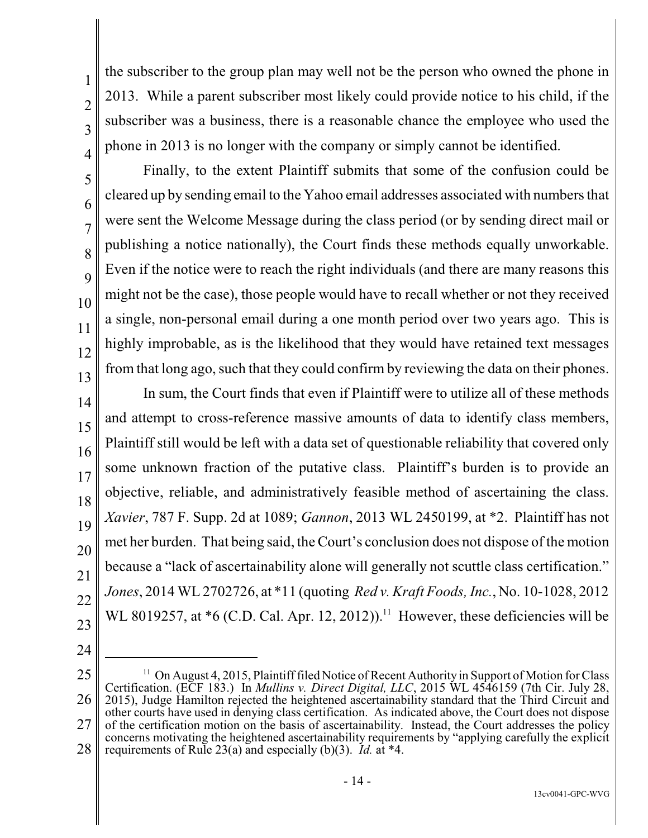the subscriber to the group plan may well not be the person who owned the phone in 2013. While a parent subscriber most likely could provide notice to his child, if the subscriber was a business, there is a reasonable chance the employee who used the phone in 2013 is no longer with the company or simply cannot be identified.

Finally, to the extent Plaintiff submits that some of the confusion could be cleared up by sending email to the Yahoo email addresses associated with numbersthat were sent the Welcome Message during the class period (or by sending direct mail or publishing a notice nationally), the Court finds these methods equally unworkable. Even if the notice were to reach the right individuals (and there are many reasons this might not be the case), those people would have to recall whether or not they received a single, non-personal email during a one month period over two years ago. This is highly improbable, as is the likelihood that they would have retained text messages from that long ago, such that they could confirm by reviewing the data on their phones.

14 15 16 17 18 19 20 21 22 23 In sum, the Court finds that even if Plaintiff were to utilize all of these methods and attempt to cross-reference massive amounts of data to identify class members, Plaintiff still would be left with a data set of questionable reliability that covered only some unknown fraction of the putative class. Plaintiff's burden is to provide an objective, reliable, and administratively feasible method of ascertaining the class. *Xavier*, 787 F. Supp. 2d at 1089; *Gannon*, 2013 WL 2450199, at \*2. Plaintiff has not met her burden. That being said, the Court's conclusion does not dispose of the motion because a "lack of ascertainability alone will generally not scuttle class certification." *Jones*, 2014 WL 2702726, at \*11 (quoting *Red v. Kraft Foods, Inc.*, No. 10-1028, 2012 WL 8019257, at  $*6$  (C.D. Cal. Apr. 12, 2012)).<sup>11</sup> However, these deficiencies will be

<sup>25</sup> 26 27 28  $11$  On August 4, 2015, Plaintiff filed Notice of Recent Authority in Support of Motion for Class Certification. (ECF 183.) In *Mullins v. Direct Digital, LLC*, 2015 WL 4546159 (7th Cir. July 28, 2015), Judge Hamilton rejected the heightened ascertainability standard that the Third Circuit and other courts have used in denying class certification. As indicated above, the Court does not dispose of the certification motion on the basis of ascertainability. Instead, the Court addresses the policy concerns motivating the heightened ascertainability requirements by "applying carefully the explicit requirements of Rule 23(a) and especially (b)(3). *Id.* at \*4.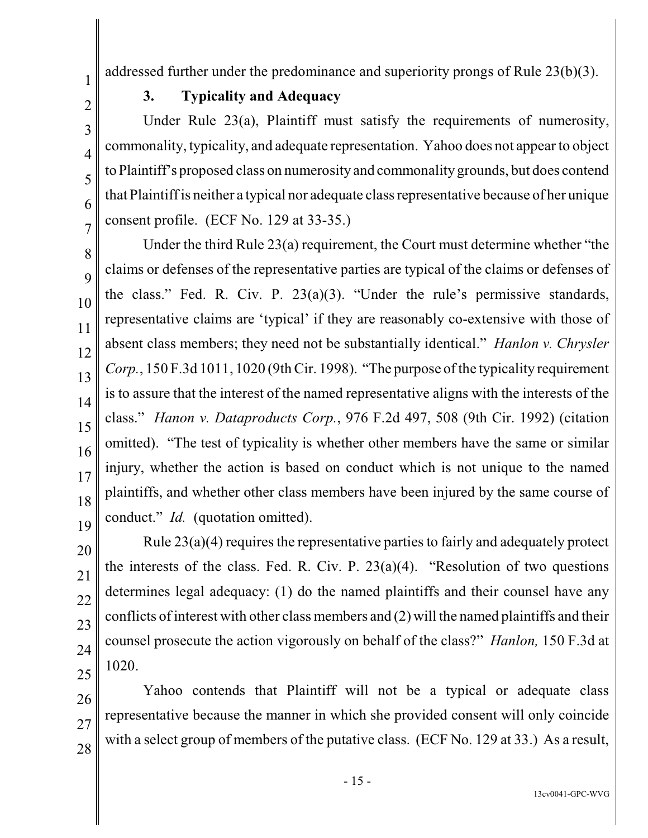addressed further under the predominance and superiority prongs of Rule 23(b)(3).

**3. Typicality and Adequacy**

Under Rule 23(a), Plaintiff must satisfy the requirements of numerosity, commonality, typicality, and adequate representation. Yahoo does not appear to object to Plaintiff's proposed class on numerosity and commonality grounds, but does contend that Plaintiffis neither a typical nor adequate class representative because of her unique consent profile. (ECF No. 129 at 33-35.)

Under the third Rule 23(a) requirement, the Court must determine whether "the claims or defenses of the representative parties are typical of the claims or defenses of the class." Fed. R. Civ. P. 23(a)(3). "Under the rule's permissive standards, representative claims are 'typical' if they are reasonably co-extensive with those of absent class members; they need not be substantially identical." *Hanlon v. Chrysler Corp.*, 150 F.3d 1011, 1020 (9th Cir. 1998). "The purpose of the typicality requirement is to assure that the interest of the named representative aligns with the interests of the class." *Hanon v. Dataproducts Corp.*, 976 F.2d 497, 508 (9th Cir. 1992) (citation omitted). "The test of typicality is whether other members have the same or similar injury, whether the action is based on conduct which is not unique to the named plaintiffs, and whether other class members have been injured by the same course of conduct." *Id.* (quotation omitted).

20 21 22 23 24 25 Rule 23(a)(4) requires the representative parties to fairly and adequately protect the interests of the class. Fed. R. Civ. P.  $23(a)(4)$ . "Resolution of two questions" determines legal adequacy: (1) do the named plaintiffs and their counsel have any conflicts of interest with other class members and (2) will the named plaintiffs and their counsel prosecute the action vigorously on behalf of the class?" *Hanlon,* 150 F.3d at 1020.

26 27 Yahoo contends that Plaintiff will not be a typical or adequate class representative because the manner in which she provided consent will only coincide with a select group of members of the putative class. (ECF No. 129 at 33.) As a result,

28

1

2

3

4

5

6

7

8

9

10

11

12

13

14

15

16

17

18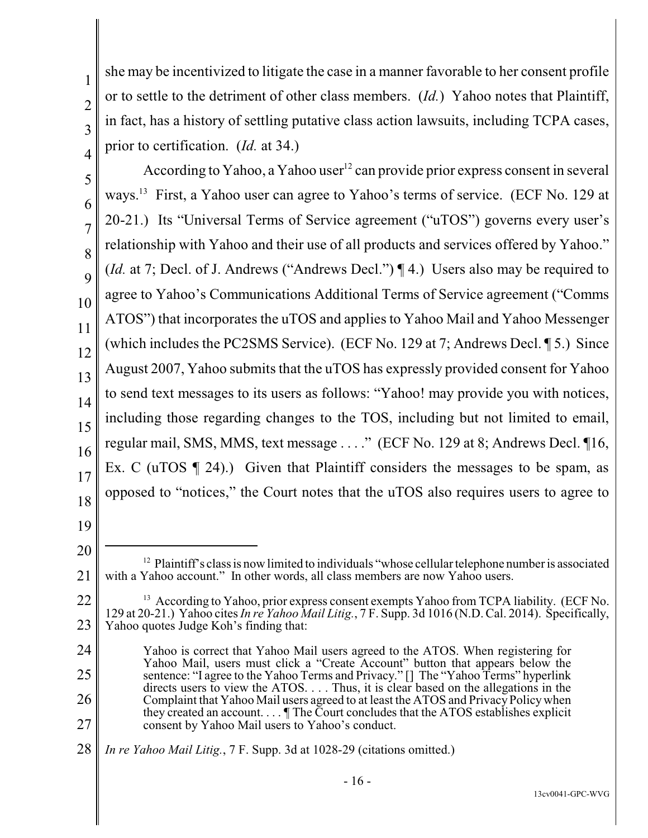9

11

she may be incentivized to litigate the case in a manner favorable to her consent profile or to settle to the detriment of other class members. (*Id.*) Yahoo notes that Plaintiff, in fact, has a history of settling putative class action lawsuits, including TCPA cases, prior to certification. (*Id.* at 34.)

10 12 13 14 15 16 17 According to Yahoo, a Yahoo user<sup>12</sup> can provide prior express consent in several ways.<sup>13</sup> First, a Yahoo user can agree to Yahoo's terms of service. (ECF No. 129 at 20-21.) Its "Universal Terms of Service agreement ("uTOS") governs every user's relationship with Yahoo and their use of all products and services offered by Yahoo." (*Id.* at 7; Decl. of J. Andrews ("Andrews Decl.") ¶ 4.) Users also may be required to agree to Yahoo's Communications Additional Terms of Service agreement ("Comms ATOS") that incorporates the uTOS and applies to Yahoo Mail and Yahoo Messenger (which includes the PC2SMS Service). (ECF No. 129 at 7; Andrews Decl. ¶ 5.) Since August 2007, Yahoo submits that the uTOS has expressly provided consent for Yahoo to send text messages to its users as follows: "Yahoo! may provide you with notices, including those regarding changes to the TOS, including but not limited to email, regular mail, SMS, MMS, text message . . . ." (ECF No. 129 at 8; Andrews Decl. ¶16, Ex. C (uTOS  $\P$  24).) Given that Plaintiff considers the messages to be spam, as opposed to "notices," the Court notes that the uTOS also requires users to agree to

- 18
- 19

<sup>20</sup> 21  $12$  Plaintiff's class is now limited to individuals "whose cellular telephone number is associated with a Yahoo account." In other words, all class members are now Yahoo users.

<sup>22</sup> 23 <sup>13</sup> According to Yahoo, prior express consent exempts Yahoo from TCPA liability. (ECF No. 129 at 20-21.) Yahoo cites *In re Yahoo Mail Litig.*, 7 F. Supp. 3d 1016 (N.D. Cal. 2014). Specifically, Yahoo quotes Judge Koh's finding that:

<sup>24</sup> 25 26 27 Yahoo is correct that Yahoo Mail users agreed to the ATOS. When registering for Yahoo Mail, users must click a "Create Account" button that appears below the sentence: "I agree to the Yahoo Terms and Privacy." [] The "Yahoo Terms" hyperlink directs users to view the ATOS. . . . Thus, it is clear based on the allegations in the Complaint that Yahoo Mail users agreed to at least the ATOS and PrivacyPolicywhen they created an account.  $\ldots$  The Court concludes that the ATOS establishes explicit consent by Yahoo Mail users to Yahoo's conduct.

<sup>28</sup> *In re Yahoo Mail Litig.*, 7 F. Supp. 3d at 1028-29 (citations omitted.)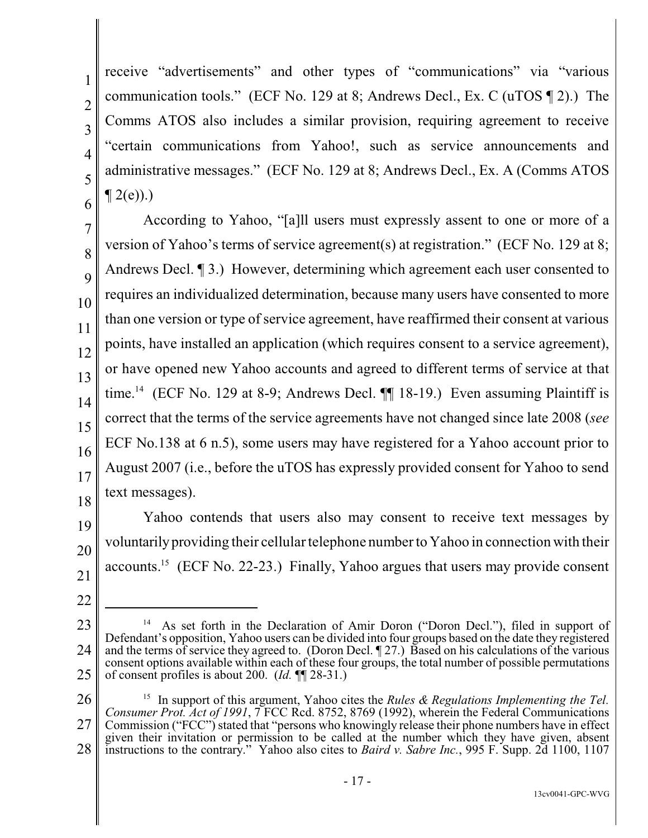1

receive "advertisements" and other types of "communications" via "various communication tools." (ECF No. 129 at 8; Andrews Decl., Ex. C (uTOS ¶ 2).) The Comms ATOS also includes a similar provision, requiring agreement to receive "certain communications from Yahoo!, such as service announcements and administrative messages." (ECF No. 129 at 8; Andrews Decl., Ex. A (Comms ATOS  $\P$  2(e)).)

11 12 13 14 15 16 17 18 According to Yahoo, "[a]ll users must expressly assent to one or more of a version of Yahoo's terms of service agreement(s) at registration." (ECF No. 129 at 8; Andrews Decl. ¶ 3.) However, determining which agreement each user consented to requires an individualized determination, because many users have consented to more than one version or type of service agreement, have reaffirmed their consent at various points, have installed an application (which requires consent to a service agreement), or have opened new Yahoo accounts and agreed to different terms of service at that time.<sup>14</sup> (ECF No. 129 at 8-9; Andrews Decl.  $\P\P$  18-19.) Even assuming Plaintiff is correct that the terms of the service agreements have not changed since late 2008 (*see* ECF No.138 at 6 n.5), some users may have registered for a Yahoo account prior to August 2007 (i.e., before the uTOS has expressly provided consent for Yahoo to send text messages).

19 20 21 Yahoo contends that users also may consent to receive text messages by voluntarilyproviding their cellular telephone number to Yahoo in connection with their accounts.<sup>15</sup> (ECF No. 22-23.) Finally, Yahoo argues that users may provide consent

<sup>23</sup> 24 25 As set forth in the Declaration of Amir Doron ("Doron Decl."), filed in support of Defendant's opposition, Yahoo users can be divided into four groups based on the date they registered and the terms of service they agreed to. (Doron Decl. ¶ 27.) Based on his calculations of the various consent options available within each of these four groups, the total number of possible permutations of consent profiles is about 200. (*Id.* ¶¶ 28-31.)

<sup>26</sup> 27 28 In support of this argument, Yahoo cites the *Rules & Regulations Implementing the Tel.* 15 *Consumer Prot. Act of 1991*, 7 FCC Rcd. 8752, 8769 (1992), wherein the Federal Communications Commission ("FCC") stated that "persons who knowingly release their phone numbers have in effect given their invitation or permission to be called at the number which they have given, absent instructions to the contrary." Yahoo also cites to *Baird v. Sabre Inc.*, 995 F. Supp. 2d 1100, 1107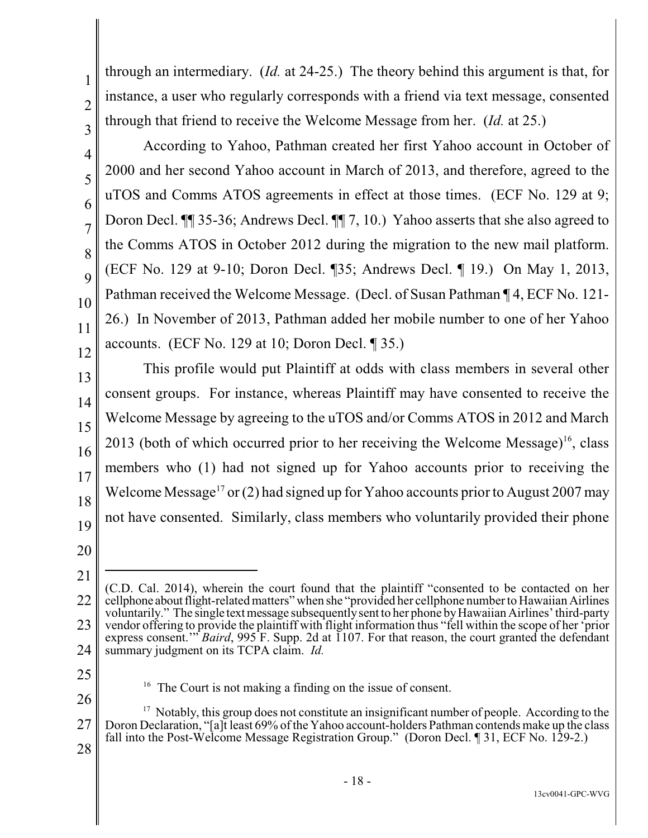1

9

10

11

- 12
- 13

14

15

16 17 18 accounts. (ECF No. 129 at 10; Doron Decl. ¶ 35.) This profile would put Plaintiff at odds with class members in several other consent groups. For instance, whereas Plaintiff may have consented to receive the Welcome Message by agreeing to the uTOS and/or Comms ATOS in 2012 and March 2013 (both of which occurred prior to her receiving the Welcome Message)<sup>16</sup>, class members who (1) had not signed up for Yahoo accounts prior to receiving the Welcome Message<sup>17</sup> or(2) had signed up for Yahoo accounts prior to August 2007 may

not have consented. Similarly, class members who voluntarily provided their phone

through an intermediary. (*Id.* at 24-25.) The theory behind this argument is that, for

instance, a user who regularly corresponds with a friend via text message, consented

2000 and her second Yahoo account in March of 2013, and therefore, agreed to the

uTOS and Comms ATOS agreements in effect at those times. (ECF No. 129 at 9;

Doron Decl. ¶¶ 35-36; Andrews Decl. ¶¶ 7, 10.) Yahoo asserts that she also agreed to

the Comms ATOS in October 2012 during the migration to the new mail platform.

(ECF No. 129 at 9-10; Doron Decl. ¶35; Andrews Decl. ¶ 19.) On May 1, 2013,

Pathman received the Welcome Message. (Decl. of Susan Pathman ¶ 4, ECF No. 121-

26.) In November of 2013, Pathman added her mobile number to one of her Yahoo

According to Yahoo, Pathman created her first Yahoo account in October of

through that friend to receive the Welcome Message from her. (*Id.* at 25.)

20

- 25
- $16$  The Court is not making a finding on the issue of consent.
- 26 27 28  $17$  Notably, this group does not constitute an insignificant number of people. According to the Doron Declaration, "[a]t least 69% of the Yahoo account-holders Pathman contends make up the class fall into the Post-Welcome Message Registration Group." (Doron Decl. ¶ 31, ECF No. 129-2.)

<sup>21</sup> 22 23 24 (C.D. Cal. 2014), wherein the court found that the plaintiff "consented to be contacted on her cellphone about flight-related matters" when she "provided her cellphone number to Hawaiian Airlines voluntarily." The single text message subsequently sent to her phone by Hawaiian Airlines' third-party vendor offering to provide the plaintiff with flight information thus "fell within the scope of her 'prior express consent.'" *Baird*, 995 F. Supp. 2d at 1107. For that reason, the court granted the defendant summary judgment on its TCPA claim. *Id.*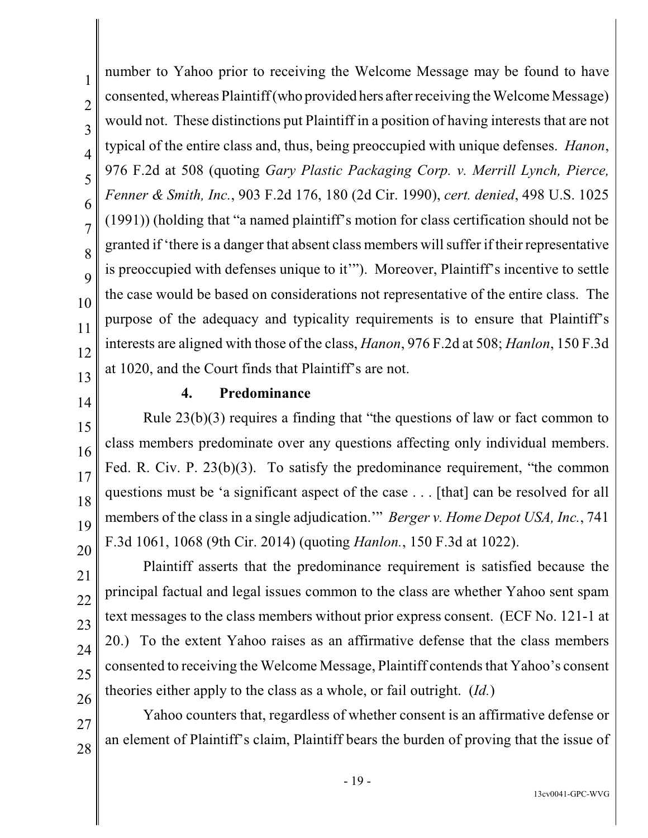1 2 3 4 5 6 7 8 9 10 11 12 13 number to Yahoo prior to receiving the Welcome Message may be found to have consented, whereas Plaintiff (who provided hers after receiving the Welcome Message) would not. These distinctions put Plaintiff in a position of having interests that are not typical of the entire class and, thus, being preoccupied with unique defenses. *Hanon*, 976 F.2d at 508 (quoting *Gary Plastic Packaging Corp. v. Merrill Lynch, Pierce, Fenner & Smith, Inc.*, 903 F.2d 176, 180 (2d Cir. 1990), *cert. denied*, 498 U.S. 1025 (1991)) (holding that "a named plaintiff's motion for class certification should not be granted if 'there is a danger that absent class members will suffer if their representative is preoccupied with defenses unique to it'"). Moreover, Plaintiff's incentive to settle the case would be based on considerations not representative of the entire class. The purpose of the adequacy and typicality requirements is to ensure that Plaintiff's interests are aligned with those of the class, *Hanon*, 976 F.2d at 508; *Hanlon*, 150 F.3d at 1020, and the Court finds that Plaintiff's are not.

14

15

16

17

18

19

20

21

22

23

24

25

26

#### **4. Predominance**

Rule 23(b)(3) requires a finding that "the questions of law or fact common to class members predominate over any questions affecting only individual members. Fed. R. Civ. P. 23(b)(3). To satisfy the predominance requirement, "the common questions must be 'a significant aspect of the case . . . [that] can be resolved for all members of the class in a single adjudication.'" *Berger v. Home Depot USA, Inc.*, 741 F.3d 1061, 1068 (9th Cir. 2014) (quoting *Hanlon.*, 150 F.3d at 1022).

Plaintiff asserts that the predominance requirement is satisfied because the principal factual and legal issues common to the class are whether Yahoo sent spam text messages to the class members without prior express consent. (ECF No. 121-1 at 20.) To the extent Yahoo raises as an affirmative defense that the class members consented to receiving the Welcome Message, Plaintiff contends that Yahoo's consent theories either apply to the class as a whole, or fail outright. (*Id.*)

27 28 Yahoo counters that, regardless of whether consent is an affirmative defense or an element of Plaintiff's claim, Plaintiff bears the burden of proving that the issue of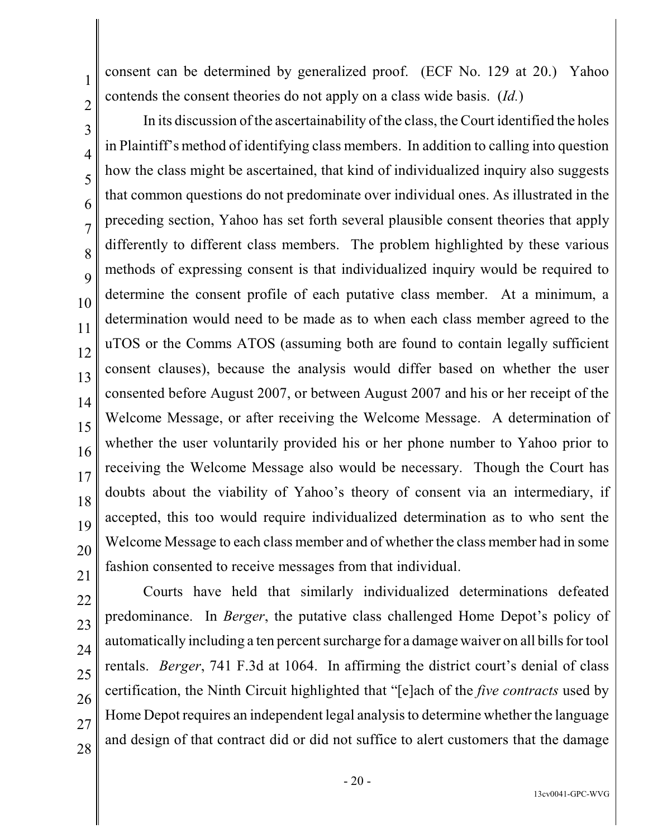consent can be determined by generalized proof. (ECF No. 129 at 20.) Yahoo contends the consent theories do not apply on a class wide basis. (*Id.*)

In its discussion of the ascertainability of the class, the Court identified the holes in Plaintiff's method of identifying class members. In addition to calling into question how the class might be ascertained, that kind of individualized inquiry also suggests that common questions do not predominate over individual ones. As illustrated in the preceding section, Yahoo has set forth several plausible consent theories that apply differently to different class members. The problem highlighted by these various methods of expressing consent is that individualized inquiry would be required to determine the consent profile of each putative class member. At a minimum, a determination would need to be made as to when each class member agreed to the uTOS or the Comms ATOS (assuming both are found to contain legally sufficient consent clauses), because the analysis would differ based on whether the user consented before August 2007, or between August 2007 and his or her receipt of the Welcome Message, or after receiving the Welcome Message. A determination of whether the user voluntarily provided his or her phone number to Yahoo prior to receiving the Welcome Message also would be necessary. Though the Court has doubts about the viability of Yahoo's theory of consent via an intermediary, if accepted, this too would require individualized determination as to who sent the Welcome Message to each class member and of whether the class member had in some fashion consented to receive messages from that individual.

1

2

3

4

5

6

7

8

9

10

24

25

26 27

28

Courts have held that similarly individualized determinations defeated predominance. In *Berger*, the putative class challenged Home Depot's policy of automatically including a ten percent surcharge for a damage waiver on all bills for tool rentals. *Berger*, 741 F.3d at 1064. In affirming the district court's denial of class certification, the Ninth Circuit highlighted that "[e]ach of the *five contracts* used by Home Depot requires an independent legal analysis to determine whether the language and design of that contract did or did not suffice to alert customers that the damage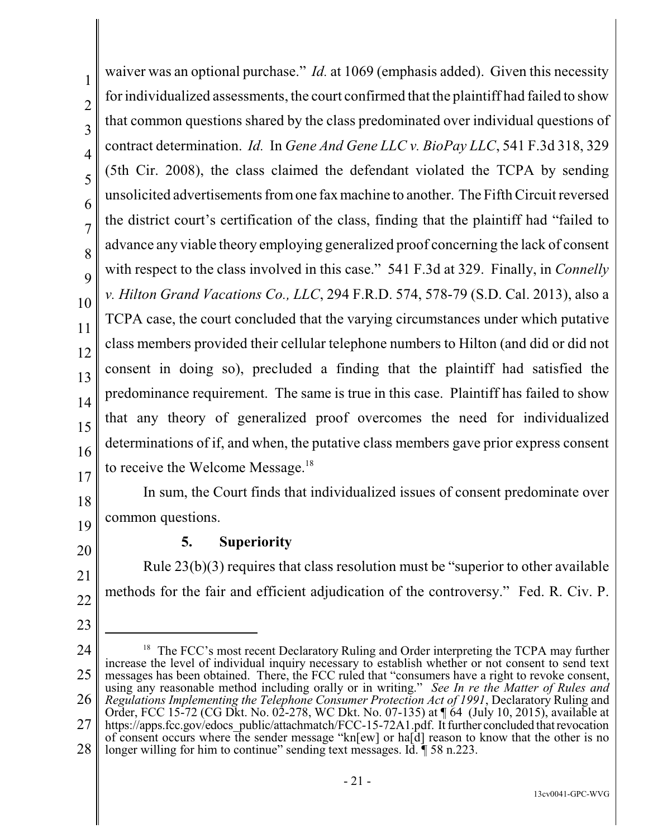1 2 3 4 5 6 7 8 9 10 11 12 13 14 15 16 17 waiver was an optional purchase." *Id.* at 1069 (emphasis added). Given this necessity for individualized assessments, the court confirmed that the plaintiff had failed to show that common questions shared by the class predominated over individual questions of contract determination. *Id.* In *Gene And Gene LLC v. BioPay LLC*, 541 F.3d 318, 329 (5th Cir. 2008), the class claimed the defendant violated the TCPA by sending unsolicited advertisements from one fax machine to another. The Fifth Circuit reversed the district court's certification of the class, finding that the plaintiff had "failed to advance any viable theory employing generalized proof concerning the lack of consent with respect to the class involved in this case." 541 F.3d at 329. Finally, in *Connelly v. Hilton Grand Vacations Co., LLC*, 294 F.R.D. 574, 578-79 (S.D. Cal. 2013), also a TCPA case, the court concluded that the varying circumstances under which putative class members provided their cellular telephone numbers to Hilton (and did or did not consent in doing so), precluded a finding that the plaintiff had satisfied the predominance requirement. The same is true in this case. Plaintiff has failed to show that any theory of generalized proof overcomes the need for individualized determinations of if, and when, the putative class members gave prior express consent to receive the Welcome Message.<sup>18</sup>

18 19 In sum, the Court finds that individualized issues of consent predominate over common questions.

20

21

23

# **5. Superiority**

22 Rule 23(b)(3) requires that class resolution must be "superior to other available methods for the fair and efficient adjudication of the controversy." Fed. R. Civ. P.

<sup>24</sup> 25 26 27 28  $18$  The FCC's most recent Declaratory Ruling and Order interpreting the TCPA may further increase the level of individual inquiry necessary to establish whether or not consent to send text messages has been obtained. There, the FCC ruled that "consumers have a right to revoke consent, using any reasonable method including orally or in writing." *See In re the Matter of Rules and Regulations Implementing the Telephone Consumer Protection Act of 1991*, Declaratory Ruling and Order, FCC 15-72 (CG Dkt. No. 02-278, WC Dkt. No. 07-135) at ¶ 64 (July 10, 2015), available at https://apps.fcc.gov/edocs\_public/attachmatch/FCC-15-72A1.pdf. It further concluded that revocation of consent occurs where the sender message "kn[ew] or ha[d] reason to know that the other is no longer willing for him to continue" sending text messages. Id.  $\sqrt{\phantom{a}}$  58 n.223.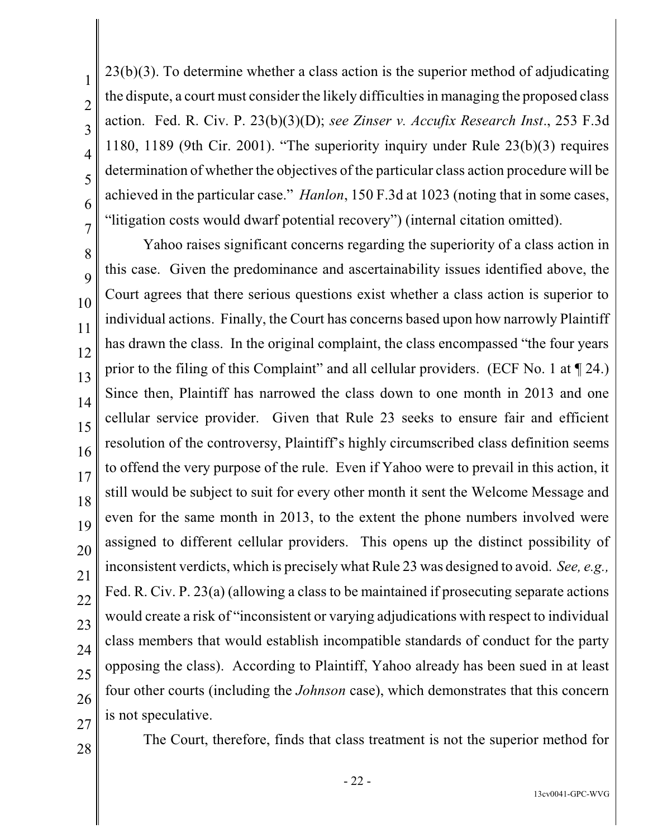23(b)(3). To determine whether a class action is the superior method of adjudicating the dispute, a court must consider the likely difficulties in managing the proposed class action. Fed. R. Civ. P. 23(b)(3)(D); *see Zinser v. Accufix Research Inst*., 253 F.3d 1180, 1189 (9th Cir. 2001). "The superiority inquiry under Rule 23(b)(3) requires determination of whether the objectives of the particular class action procedure will be achieved in the particular case." *Hanlon*, 150 F.3d at 1023 (noting that in some cases, "litigation costs would dwarf potential recovery") (internal citation omitted).

Yahoo raises significant concerns regarding the superiority of a class action in this case. Given the predominance and ascertainability issues identified above, the Court agrees that there serious questions exist whether a class action is superior to individual actions. Finally, the Court has concerns based upon how narrowly Plaintiff has drawn the class. In the original complaint, the class encompassed "the four years prior to the filing of this Complaint" and all cellular providers. (ECF No. 1 at ¶ 24.) Since then, Plaintiff has narrowed the class down to one month in 2013 and one cellular service provider. Given that Rule 23 seeks to ensure fair and efficient resolution of the controversy, Plaintiff's highly circumscribed class definition seems to offend the very purpose of the rule. Even if Yahoo were to prevail in this action, it still would be subject to suit for every other month it sent the Welcome Message and even for the same month in 2013, to the extent the phone numbers involved were assigned to different cellular providers. This opens up the distinct possibility of inconsistent verdicts, which is precisely what Rule 23 was designed to avoid. *See, e.g.,* Fed. R. Civ. P. 23(a) (allowing a class to be maintained if prosecuting separate actions would create a risk of "inconsistent or varying adjudications with respect to individual class members that would establish incompatible standards of conduct for the party opposing the class). According to Plaintiff, Yahoo already has been sued in at least four other courts (including the *Johnson* case), which demonstrates that this concern is not speculative.

28

The Court, therefore, finds that class treatment is not the superior method for